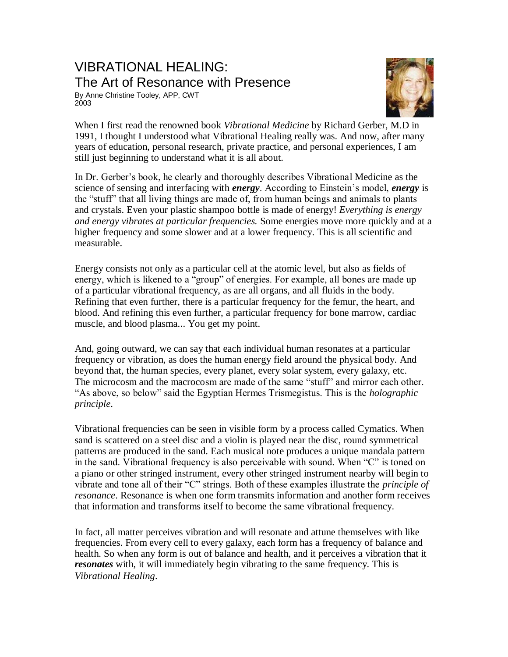## VIBRATIONAL HEALING: The Art of Resonance with Presence

By Anne Christine Tooley, APP, CWT 2003



When I first read the renowned book *Vibrational Medicine* by Richard Gerber, M.D in 1991, I thought I understood what Vibrational Healing really was. And now, after many years of education, personal research, private practice, and personal experiences, I am still just beginning to understand what it is all about.

In Dr. Gerber's book, he clearly and thoroughly describes Vibrational Medicine as the science of sensing and interfacing with *energy*. According to Einstein's model, *energy* is the "stuff" that all living things are made of, from human beings and animals to plants and crystals. Even your plastic shampoo bottle is made of energy! *Everything is energy and energy vibrates at particular frequencies.* Some energies move more quickly and at a higher frequency and some slower and at a lower frequency. This is all scientific and measurable.

Energy consists not only as a particular cell at the atomic level, but also as fields of energy, which is likened to a "group" of energies. For example, all bones are made up of a particular vibrational frequency, as are all organs, and all fluids in the body. Refining that even further, there is a particular frequency for the femur, the heart, and blood. And refining this even further, a particular frequency for bone marrow, cardiac muscle, and blood plasma... You get my point.

And, going outward, we can say that each individual human resonates at a particular frequency or vibration, as does the human energy field around the physical body. And beyond that, the human species, every planet, every solar system, every galaxy, etc. The microcosm and the macrocosm are made of the same "stuff" and mirror each other. "As above, so below" said the Egyptian Hermes Trismegistus. This is the *holographic principle*.

Vibrational frequencies can be seen in visible form by a process called Cymatics. When sand is scattered on a steel disc and a violin is played near the disc, round symmetrical patterns are produced in the sand. Each musical note produces a unique mandala pattern in the sand. Vibrational frequency is also perceivable with sound. When "C" is toned on a piano or other stringed instrument, every other stringed instrument nearby will begin to vibrate and tone all of their "C" strings. Both of these examples illustrate the *principle of resonance*. Resonance is when one form transmits information and another form receives that information and transforms itself to become the same vibrational frequency.

In fact, all matter perceives vibration and will resonate and attune themselves with like frequencies. From every cell to every galaxy, each form has a frequency of balance and health. So when any form is out of balance and health, and it perceives a vibration that it *resonates* with, it will immediately begin vibrating to the same frequency. This is *Vibrational Healing*.